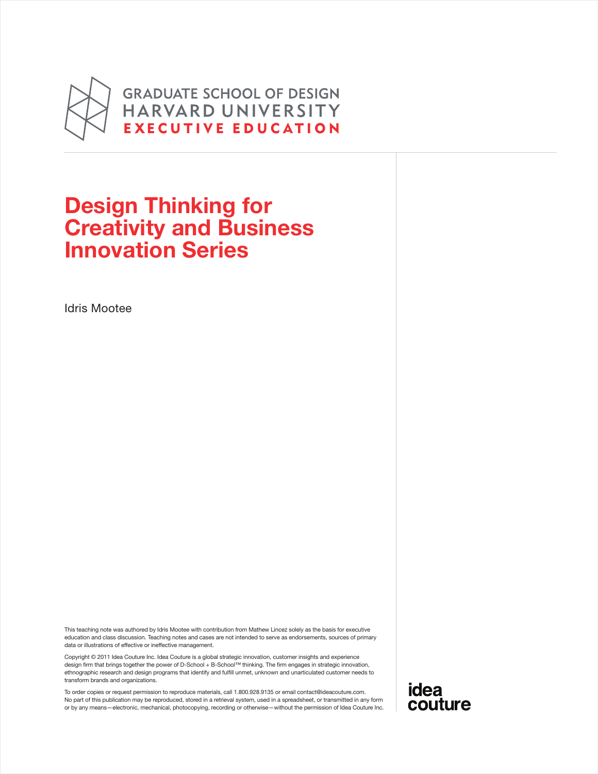

**GRADUATE SCHOOL OF DESIGN** HARVARD UNIVERSITY **EXECUTIVE EDUCATION** 

### Design Thinking for Creativity and Business Innovation Series

Idris Mootee

This teaching note was authored by Idris Mootee with contribution from Mathew Lincez solely as the basis for executive education and class discussion. Teaching notes and cases are not intended to serve as endorsements, sources of primary data or illustrations of effective or ineffective management.

Copyright © 2011 Idea Couture Inc. Idea Couture is a global strategic innovation, customer insights and experience design firm that brings together the power of D-School + B-School™ thinking. The firm engages in strategic innovation, ethnographic research and design programs that identify and fulfill unmet, unknown and unarticulated customer needs to transform brands and organizations.

To order copies or request permission to reproduce materials, call 1.800.928.9135 or email contact@ideacouture.com. No part of this publication may be reproduced, stored in a retrieval system, used in a spreadsheet, or transmitted in any form or by any means—electronic, mechanical, photocopying, recording or otherwise—without the permission of Idea Couture Inc. idea couture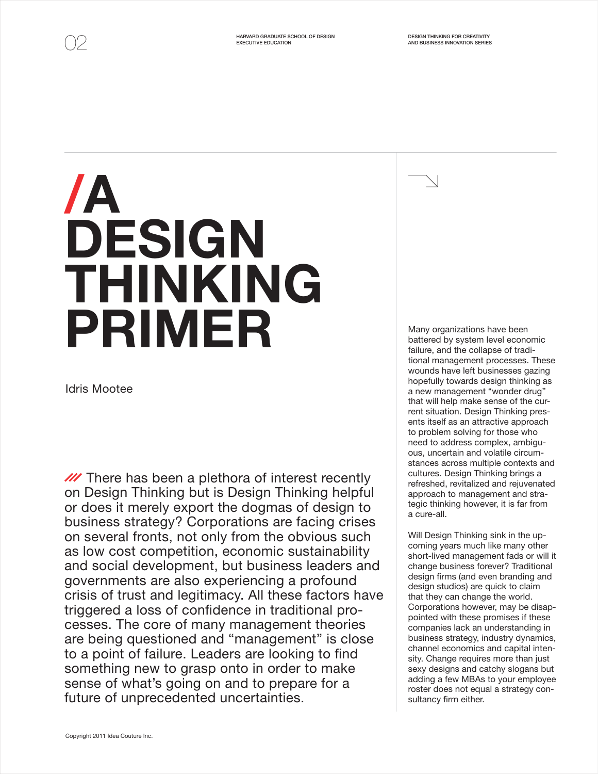# /A DESIGN THINKING PRIMER

Idris Mootee

**M** There has been a plethora of interest recently on Design Thinking but is Design Thinking helpful or does it merely export the dogmas of design to business strategy? Corporations are facing crises on several fronts, not only from the obvious such as low cost competition, economic sustainability and social development, but business leaders and governments are also experiencing a profound crisis of trust and legitimacy. All these factors have triggered a loss of confidence in traditional processes. The core of many management theories are being questioned and "management" is close to a point of failure. Leaders are looking to find something new to grasp onto in order to make sense of what's going on and to prepare for a future of unprecedented uncertainties.

Many organizations have been battered by system level economic failure, and the collapse of traditional management processes. These wounds have left businesses gazing hopefully towards design thinking as a new management "wonder drug" that will help make sense of the current situation. Design Thinking presents itself as an attractive approach to problem solving for those who need to address complex, ambiguous, uncertain and volatile circumstances across multiple contexts and cultures. Design Thinking brings a refreshed, revitalized and rejuvenated approach to management and strategic thinking however, it is far from a cure-all.

Will Design Thinking sink in the upcoming years much like many other short-lived management fads or will it change business forever? Traditional design firms (and even branding and design studios) are quick to claim that they can change the world. Corporations however, may be disappointed with these promises if these companies lack an understanding in business strategy, industry dynamics, channel economics and capital intensity. Change requires more than just sexy designs and catchy slogans but adding a few MBAs to your employee roster does not equal a strategy consultancy firm either.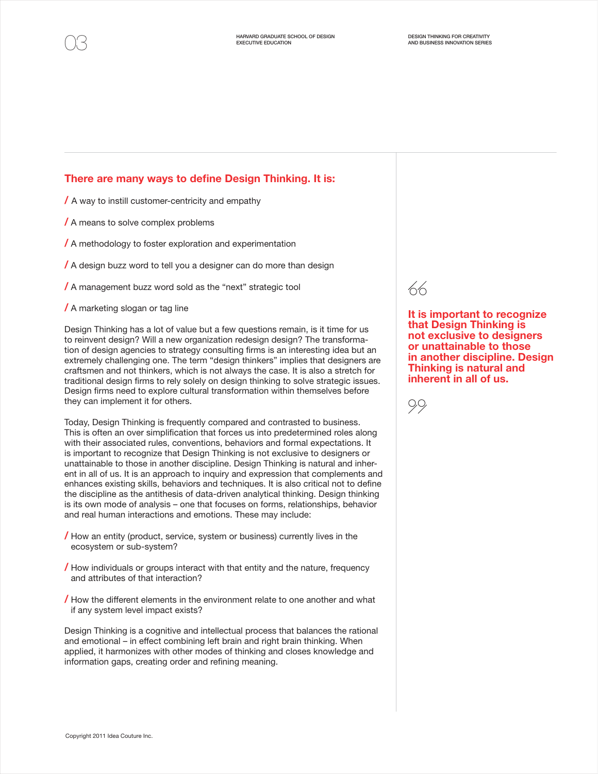#### There are many ways to define Design Thinking. It is:

/ A way to instill customer-centricity and empathy

/ A means to solve complex problems

/ A methodology to foster exploration and experimentation

/ A design buzz word to tell you a designer can do more than design

/ A management buzz word sold as the "next" strategic tool

/ A marketing slogan or tag line

Design Thinking has a lot of value but a few questions remain, is it time for us to reinvent design? Will a new organization redesign design? The transformation of design agencies to strategy consulting firms is an interesting idea but an extremely challenging one. The term "design thinkers" implies that designers are craftsmen and not thinkers, which is not always the case. It is also a stretch for traditional design firms to rely solely on design thinking to solve strategic issues. Design firms need to explore cultural transformation within themselves before they can implement it for others.

Today, Design Thinking is frequently compared and contrasted to business. This is often an over simplification that forces us into predetermined roles along with their associated rules, conventions, behaviors and formal expectations. It is important to recognize that Design Thinking is not exclusive to designers or unattainable to those in another discipline. Design Thinking is natural and inherent in all of us. It is an approach to inquiry and expression that complements and enhances existing skills, behaviors and techniques. It is also critical not to define the discipline as the antithesis of data-driven analytical thinking. Design thinking is its own mode of analysis – one that focuses on forms, relationships, behavior and real human interactions and emotions. These may include:

- / How an entity (product, service, system or business) currently lives in the ecosystem or sub-system?
- **/** How individuals or groups interact with that entity and the nature, frequency and attributes of that interaction?
- / How the different elements in the environment relate to one another and what if any system level impact exists?

Design Thinking is a cognitive and intellectual process that balances the rational and emotional – in effect combining left brain and right brain thinking. When applied, it harmonizes with other modes of thinking and closes knowledge and information gaps, creating order and refining meaning.



It is important to recognize that Design Thinking is not exclusive to designers or unattainable to those in another discipline. Design Thinking is natural and inherent in all of us.

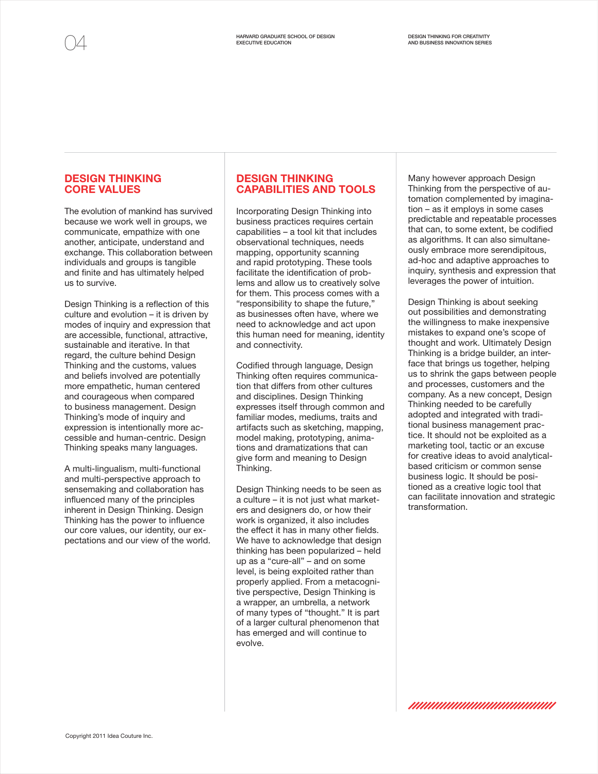#### DESIGN THINKING CORE VALUES

The evolution of mankind has survived because we work well in groups, we communicate, empathize with one another, anticipate, understand and exchange. This collaboration between individuals and groups is tangible and finite and has ultimately helped us to survive.

Design Thinking is a reflection of this culture and evolution – it is driven by modes of inquiry and expression that are accessible, functional, attractive, sustainable and iterative. In that regard, the culture behind Design Thinking and the customs, values and beliefs involved are potentially more empathetic, human centered and courageous when compared to business management. Design Thinking's mode of inquiry and expression is intentionally more accessible and human-centric. Design Thinking speaks many languages.

A multi-lingualism, multi-functional and multi-perspective approach to sensemaking and collaboration has influenced many of the principles inherent in Design Thinking. Design Thinking has the power to influence our core values, our identity, our expectations and our view of the world.

#### DESIGN THINKING CAPABILITIES AND TOOLS

Incorporating Design Thinking into business practices requires certain capabilities – a tool kit that includes observational techniques, needs mapping, opportunity scanning and rapid prototyping. These tools facilitate the identification of problems and allow us to creatively solve for them. This process comes with a "responsibility to shape the future," as businesses often have, where we need to acknowledge and act upon this human need for meaning, identity and connectivity.

Codified through language, Design Thinking often requires communication that differs from other cultures and disciplines. Design Thinking expresses itself through common and familiar modes, mediums, traits and artifacts such as sketching, mapping, model making, prototyping, animations and dramatizations that can give form and meaning to Design Thinking.

Design Thinking needs to be seen as a culture – it is not just what marketers and designers do, or how their work is organized, it also includes the effect it has in many other fields. We have to acknowledge that design thinking has been popularized – held up as a "cure-all" – and on some level, is being exploited rather than properly applied. From a metacognitive perspective, Design Thinking is a wrapper, an umbrella, a network of many types of "thought." It is part of a larger cultural phenomenon that has emerged and will continue to evolve.

Many however approach Design Thinking from the perspective of automation complemented by imagination – as it employs in some cases predictable and repeatable processes that can, to some extent, be codified as algorithms. It can also simultaneously embrace more serendipitous, ad-hoc and adaptive approaches to inquiry, synthesis and expression that leverages the power of intuition.

Design Thinking is about seeking out possibilities and demonstrating the willingness to make inexpensive mistakes to expand one's scope of thought and work. Ultimately Design Thinking is a bridge builder, an interface that brings us together, helping us to shrink the gaps between people and processes, customers and the company. As a new concept, Design Thinking needed to be carefully adopted and integrated with traditional business management practice. It should not be exploited as a marketing tool, tactic or an excuse for creative ideas to avoid analyticalbased criticism or common sense business logic. It should be positioned as a creative logic tool that can facilitate innovation and strategic transformation.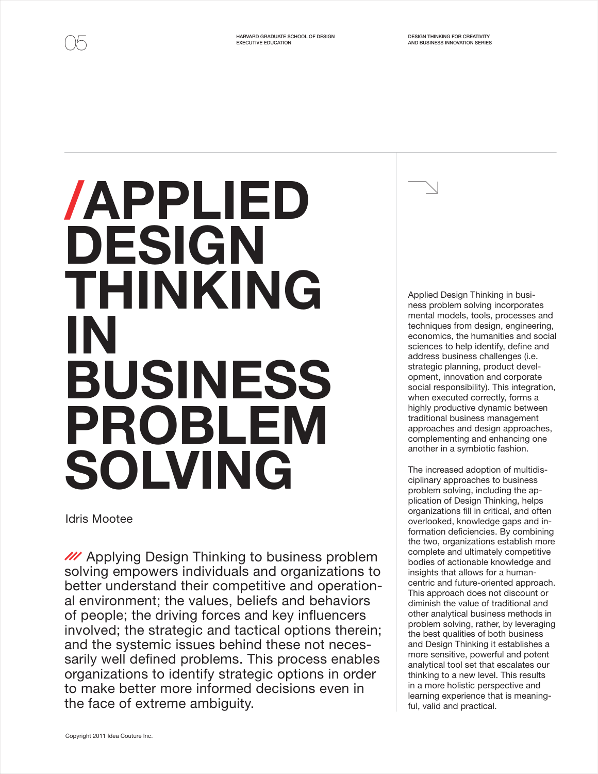## /APPLIED DESIGN THINKING IN BUSINESS PROBLEM SOLVING

Idris Mootee

**M** Applying Design Thinking to business problem solving empowers individuals and organizations to better understand their competitive and operational environment; the values, beliefs and behaviors of people; the driving forces and key influencers involved; the strategic and tactical options therein; and the systemic issues behind these not necessarily well defined problems. This process enables organizations to identify strategic options in order to make better more informed decisions even in the face of extreme ambiguity.

Applied Design Thinking in business problem solving incorporates mental models, tools, processes and techniques from design, engineering, economics, the humanities and social sciences to help identify, define and address business challenges (i.e. strategic planning, product development, innovation and corporate social responsibility). This integration, when executed correctly, forms a highly productive dynamic between traditional business management approaches and design approaches, complementing and enhancing one another in a symbiotic fashion.

The increased adoption of multidisciplinary approaches to business problem solving, including the application of Design Thinking, helps organizations fill in critical, and often overlooked, knowledge gaps and information deficiencies. By combining the two, organizations establish more complete and ultimately competitive bodies of actionable knowledge and insights that allows for a humancentric and future-oriented approach. This approach does not discount or diminish the value of traditional and other analytical business methods in problem solving, rather, by leveraging the best qualities of both business and Design Thinking it establishes a more sensitive, powerful and potent analytical tool set that escalates our thinking to a new level. This results in a more holistic perspective and learning experience that is meaningful, valid and practical.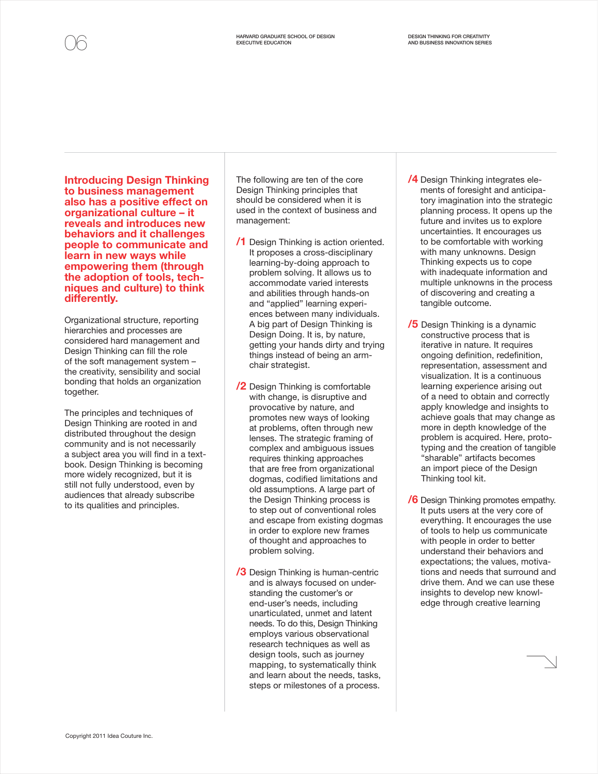Introducing Design Thinking to business management also has a positive effect on organizational culture – it reveals and introduces new behaviors and it challenges people to communicate and learn in new ways while empowering them (through the adoption of tools, techniques and culture) to think differently.

Organizational structure, reporting hierarchies and processes are considered hard management and Design Thinking can fill the role of the soft management system – the creativity, sensibility and social bonding that holds an organization together.

The principles and techniques of Design Thinking are rooted in and distributed throughout the design community and is not necessarily a subject area you will find in a textbook. Design Thinking is becoming more widely recognized, but it is still not fully understood, even by audiences that already subscribe to its qualities and principles.

The following are ten of the core Design Thinking principles that should be considered when it is used in the context of business and management:

- /1 Design Thinking is action oriented. It proposes a cross-disciplinary learning-by-doing approach to problem solving. It allows us to accommodate varied interests and abilities through hands-on and "applied" learning experiences between many individuals. A big part of Design Thinking is Design Doing. It is, by nature, getting your hands dirty and trying things instead of being an armchair strategist.
- /2 Design Thinking is comfortable with change, is disruptive and provocative by nature, and promotes new ways of looking at problems, often through new lenses. The strategic framing of complex and ambiguous issues requires thinking approaches that are free from organizational dogmas, codified limitations and old assumptions. A large part of the Design Thinking process is to step out of conventional roles and escape from existing dogmas in order to explore new frames of thought and approaches to problem solving.
- **/3** Design Thinking is human-centric and is always focused on understanding the customer's or end-user's needs, including unarticulated, unmet and latent needs. To do this, Design Thinking employs various observational research techniques as well as design tools, such as journey mapping, to systematically think and learn about the needs, tasks, steps or milestones of a process.
- /4 Design Thinking integrates elements of foresight and anticipatory imagination into the strategic planning process. It opens up the future and invites us to explore uncertainties. It encourages us to be comfortable with working with many unknowns. Design Thinking expects us to cope with inadequate information and multiple unknowns in the process of discovering and creating a tangible outcome.
- **/5** Design Thinking is a dynamic constructive process that is iterative in nature. It requires ongoing definition, redefinition, representation, assessment and visualization. It is a continuous learning experience arising out of a need to obtain and correctly apply knowledge and insights to achieve goals that may change as more in depth knowledge of the problem is acquired. Here, prototyping and the creation of tangible "sharable" artifacts becomes an import piece of the Design Thinking tool kit.
- **6** Design Thinking promotes empathy. It puts users at the very core of everything. It encourages the use of tools to help us communicate with people in order to better understand their behaviors and expectations; the values, motivations and needs that surround and drive them. And we can use these insights to develop new knowledge through creative learning